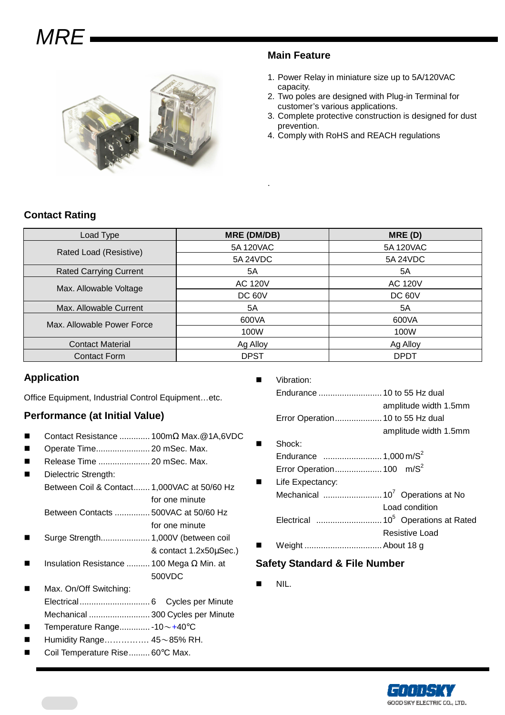# **MRF**



#### **Main Feature**

- 1. Power Relay in miniature size up to 5A/120VAC capacity.
- 2. Two poles are designed with Plug-in Terminal for customer's various applications.
- 3. Complete protective construction is designed for dust prevention.
- 4. Comply with RoHS and REACH regulations

#### **Contact Rating**

| Load Type                     | <b>MRE (DM/DB)</b> | MRE(D)         |  |
|-------------------------------|--------------------|----------------|--|
| Rated Load (Resistive)        | 5A 120VAC          | 5A 120VAC      |  |
|                               | 5A 24VDC           | 5A 24VDC       |  |
| <b>Rated Carrying Current</b> | 5A                 | 5A             |  |
| Max. Allowable Voltage        | <b>AC 120V</b>     | <b>AC 120V</b> |  |
|                               | DC 60V             | <b>DC 60V</b>  |  |
| Max. Allowable Current        | 5A                 | 5A             |  |
| Max. Allowable Power Force    | 600VA              | 600VA          |  |
|                               | 100W               | 100W           |  |
| <b>Contact Material</b>       | Ag Alloy           | Ag Alloy       |  |
| <b>Contact Form</b>           | <b>DPST</b>        | <b>DPDT</b>    |  |

.

#### **Application**

Office Equipment, Industrial Control Equipment…etc.

#### **Performance (at Initial Value)**

- Contact Resistance ............. 100mΩ Max.@1A,6VDC
- Operate Time....................... 20 mSec. Max.
- Release Time ...................... 20 mSec. Max.
- Dielectric Strength: Between Coil & Contact....... 1,000VAC at 50/60 Hz for one minute
	- Between Contacts ............... 500VAC at 50/60 Hz
	- for one minute Surge Strength..................... 1,000V (between coil
- & contact 1.2x50µSec.)
- Insulation Resistance .......... 100 Mega Ω Min. at 500VDC
- Max. On/Off Switching: Electrical.............................. 6 Cycles per Minute Mechanical .......................... 300 Cycles per Minute
- Temperature Range............. -10~+40°C
- Humidity Range……………. 45~85% RH.
- Coil Temperature Rise......... 60°C Max.

|                |        | amplitude width 1.5mm |
|----------------|--------|-----------------------|
|                |        |                       |
|                |        | amplitude width 1.5mm |
| $\blacksquare$ | Shock: |                       |

- Endurance ......................... 1,000 m/S<sup>2</sup>
- Error Operation.................... 100 m/S<sup>2</sup> Life Expectancy: Mechanical ......................... 10<sup>7</sup>Operations at No Load condition Electrical ............................ 10<sup>5</sup>Operations at Rated Resistive Load
- Weight ................................. About 18 g

#### **Safety Standard & File Number**

NIL.